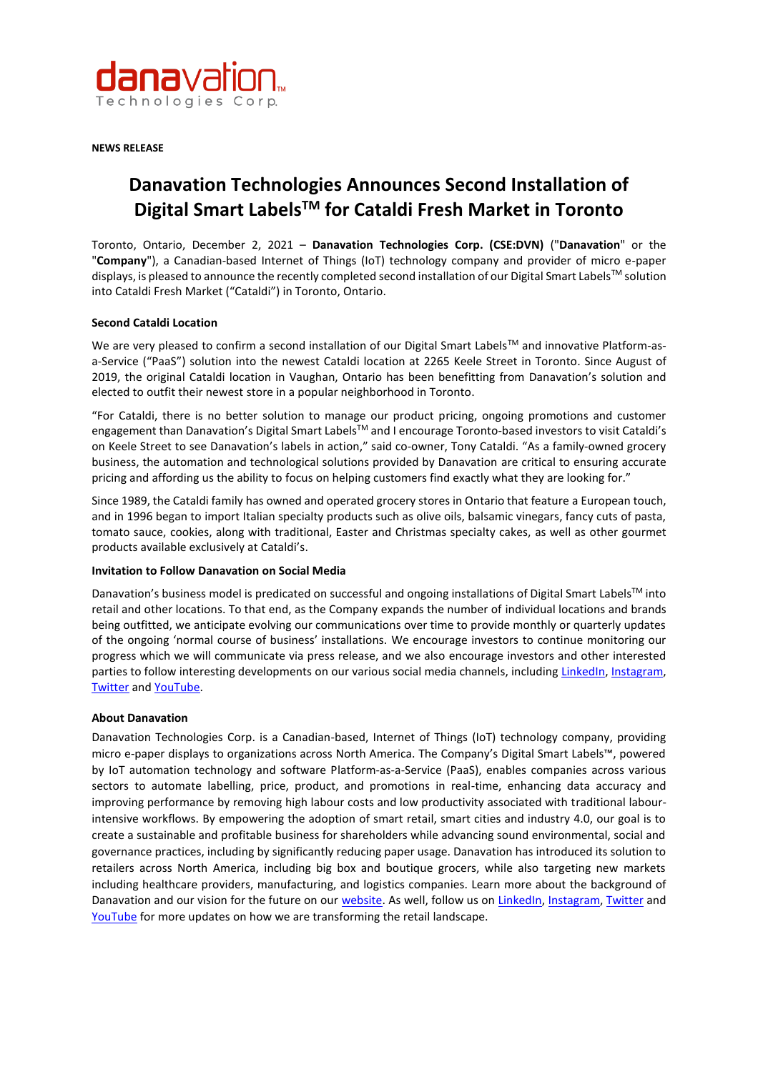

**NEWS RELEASE** 

# **Danavation Technologies Announces Second Installation of Digital Smart LabelsTM for Cataldi Fresh Market in Toronto**

Toronto, Ontario, December 2, 2021 – **Danavation Technologies Corp. (CSE:DVN)** ("**Danavation**" or the "**Company**"), a Canadian-based Internet of Things (IoT) technology company and provider of micro e-paper displays, is pleased to announce the recently completed second installation of our Digital Smart Labels<sup>TM</sup> solution into Cataldi Fresh Market ("Cataldi") in Toronto, Ontario.

### **Second Cataldi Location**

We are very pleased to confirm a second installation of our Digital Smart Labels™ and innovative Platform-asa-Service ("PaaS") solution into the newest Cataldi location at 2265 Keele Street in Toronto. Since August of 2019, the original Cataldi location in Vaughan, Ontario has been benefitting from Danavation's solution and elected to outfit their newest store in a popular neighborhood in Toronto.

"For Cataldi, there is no better solution to manage our product pricing, ongoing promotions and customer engagement than Danavation's Digital Smart Labels™ and I encourage Toronto-based investors to visit Cataldi's on Keele Street to see Danavation's labels in action," said co-owner, Tony Cataldi. "As a family-owned grocery business, the automation and technological solutions provided by Danavation are critical to ensuring accurate pricing and affording us the ability to focus on helping customers find exactly what they are looking for."

Since 1989, the Cataldi family has owned and operated grocery stores in Ontario that feature a European touch, and in 1996 began to import Italian specialty products such as olive oils, balsamic vinegars, fancy cuts of pasta, tomato sauce, cookies, along with traditional, Easter and Christmas specialty cakes, as well as other gourmet products available exclusively at Cataldi's.

### **Invitation to Follow Danavation on Social Media**

Danavation's business model is predicated on successful and ongoing installations of Digital Smart Labels™ into retail and other locations. To that end, as the Company expands the number of individual locations and brands being outfitted, we anticipate evolving our communications over time to provide monthly or quarterly updates of the ongoing 'normal course of business' installations. We encourage investors to continue monitoring our progress which we will communicate via press release, and we also encourage investors and other interested parties to follow interesting developments on our various social media channels, includin[g LinkedIn,](https://ca.linkedin.com/company/danavation) [Instagram,](https://www.instagram.com/danavation/) [Twitter](https://twitter.com/danavation) and [YouTube.](https://www.youtube.com/channel/UC4JMZedi1Sf5LgRiRCRVA1A/featured)

### **About Danavation**

Danavation Technologies Corp. is a Canadian-based, Internet of Things (IoT) technology company, providing micro e-paper displays to organizations across North America. The Company's Digital Smart Labels™, powered by IoT automation technology and software Platform-as-a-Service (PaaS), enables companies across various sectors to automate labelling, price, product, and promotions in real-time, enhancing data accuracy and improving performance by removing high labour costs and low productivity associated with traditional labourintensive workflows. By empowering the adoption of smart retail, smart cities and industry 4.0, our goal is to create a sustainable and profitable business for shareholders while advancing sound environmental, social and governance practices, including by significantly reducing paper usage. Danavation has introduced its solution to retailers across North America, including big box and boutique grocers, while also targeting new markets including healthcare providers, manufacturing, and logistics companies. Learn more about the background of Danavation and our vision for the future on our [website.](http://www.danavation.com/) As well, follow us on [LinkedIn,](https://ca.linkedin.com/company/danavation) [Instagram,](https://www.instagram.com/danavation/) [Twitter](https://twitter.com/danavation) and [YouTube](https://www.youtube.com/channel/UC4JMZedi1Sf5LgRiRCRVA1A/featured) for more updates on how we are transforming the retail landscape.